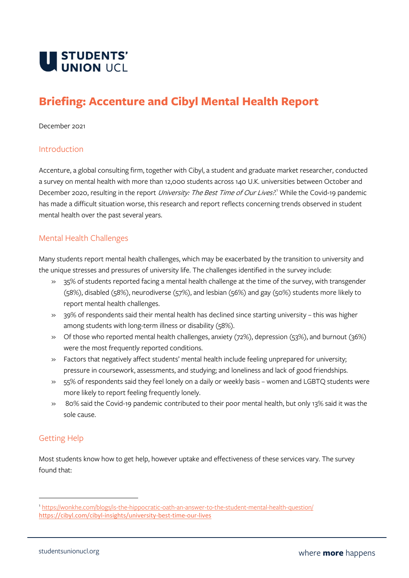

# **Briefing: Accenture and Cibyl Mental Health Report**

#### December 2021

#### Introduction

Accenture, a global consulting firm, together with Cibyl, a student and graduate market researcher, conducted a survey on mental health with more than 12,000 students across 140 U.K. universities between October and December 2020, resulting in the report *University: The Best Time of Our Lives?*.<sup>1</sup> While the Covid-19 pandemic has made a difficult situation worse, this research and report reflects concerning trends observed in student mental health over the past several years.

### Mental Health Challenges

Many students report mental health challenges, which may be exacerbated by the transition to university and the unique stresses and pressures of university life. The challenges identified in the survey include:

- » 35% of students reported facing a mental health challenge at the time of the survey, with transgender (58%), disabled (58%), neurodiverse (57%), and lesbian (56%) and gay (50%) students more likely to report mental health challenges.
- » 39% of respondents said their mental health has declined since starting university this was higher among students with long-term illness or disability (58%).
- » Of those who reported mental health challenges, anxiety (72%), depression (53%), and burnout (36%) were the most frequently reported conditions.
- » Factors that negatively affect students' mental health include feeling unprepared for university; pressure in coursework, assessments, and studying; and loneliness and lack of good friendships.
- » 55% of respondents said they feel lonely on a daily or weekly basis women and LGBTQ students were more likely to report feeling frequently lonely.
- » 80% said the Covid-19 pandemic contributed to their poor mental health, but only 13% said it was the sole cause.

## Getting Help

Most students know how to get help, however uptake and effectiveness of these services vary. The survey found that:

<sup>1</sup> <https://wonkhe.com/blogs/is-the-hippocratic-oath-an-answer-to-the-student-mental-health-question/> <https://cibyl.com/cibyl-insights/university-best-time-our-lives>